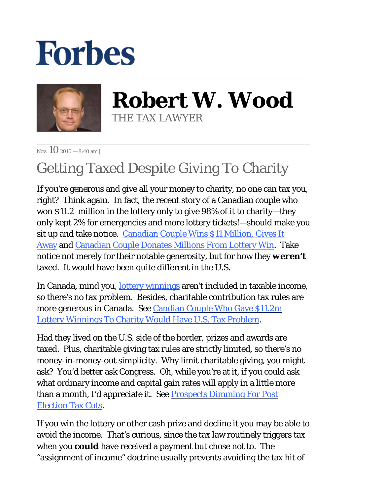## **Forbes**



**Robert W. Wood** THE TAX LAWYER

Nov.  $10_{2010 - 8:40 \text{ am}}$ 

## Getting Taxed Despite Giving To Charity

If you're generous and give all your money to charity, no one can tax you, right? Think again. In fact, the recent story of a Canadian couple who won \$11.2 million in the lottery only to give 98% of it to charity—they only kept 2% for emergencies and more lottery tickets!—should make you sit up and take notice. [Canadian Couple Wins \\$11 Million, Gives It](http://www.npr.org/templates/story/story.php?storyId=131090722)  [Away a](http://www.npr.org/templates/story/story.php?storyId=131090722)nd [Canadian Couple Donates Millions From Lottery Win.](http://www.forbes.com/feeds/ap/2010/11/04/general-cn-canada-lottery-winning-giveaway_8077070.html?boxes=financechannelAP) Take notice not merely for their notable generosity, but for how they *weren't* taxed. It would have been quite different in the U.S.

In Canada, mind you, l[ottery winnings a](http://www.cra-arc.gc.ca/tx/ndvdls/tpcs/ncm-tx/rtrn/cmpltng/rprtng-ncm/nttxd-eng.html)ren't included in taxable income, so there's no tax problem. Besides, charitable contribution tax rules are more generous in Canada. See Candian Couple Who Gave \$11.2m [Lottery Winnings To Charity Would Have U.S. Tax Problem.](http://taxprof.typepad.com/taxprof_blog/2010/11/good-thing.html)

Had they lived on the U.S. side of the border, prizes and awards are taxed. Plus, charitable giving tax rules are strictly limited, so there's no money-in-money-out simplicity. Why limit charitable giving, you might ask? You'd better ask Congress. Oh, while you're at it, if you could ask what ordinary income and capital gain rates will apply in a little more than a month, I'd appreciate it. See **Prospects Dimming For Post** [Election Tax Cuts.](http://blogs.forbes.com/robertwood/2010/11/03/prospects-dimming-for-post-election-tax-cuts/) 

If you win the lottery or other cash prize and decline it you may be able to avoid the income. That's curious, since the tax law routinely triggers tax when you *could* have received a payment but chose not to. The "assignment of income" doctrine usually prevents avoiding the tax hit of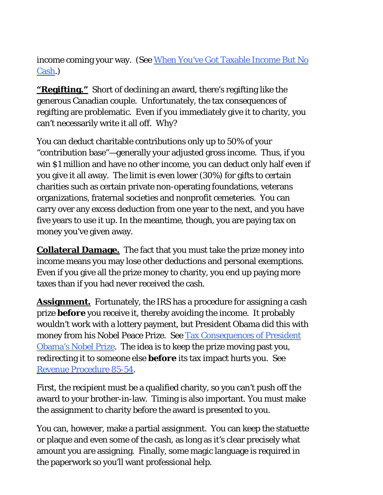income coming your way. (See [When You've Got Taxable Income But No](http://www.forbes.com/2009/10/12/tax-cancelled-debt-deferred-income-personal-finance-wood.html)  [Cash.](http://www.forbes.com/2009/10/12/tax-cancelled-debt-deferred-income-personal-finance-wood.html))

**"Regifting."** Short of declining an award, there's regifting like the generous Canadian couple. Unfortunately, the tax consequences of regifting are problematic. Even if you immediately give it to charity, you can't necessarily write it all off. Why?

You can deduct charitable contributions only up to 50% of your "contribution base"—generally your adjusted gross income. Thus, if you win \$1 million and have no other income, you can deduct only half even if you give it all away. The limit is even lower (30%) for gifts to certain charities such as certain private non-operating foundations, veterans organizations, fraternal societies and nonprofit cemeteries. You can carry over any excess deduction from one year to the next, and you have five years to use it up. In the meantime, though, you are paying tax on money you've given away.

**Collateral Damage.** The fact that you must take the prize money into income means you may lose other deductions and personal exemptions. Even if you give all the prize money to charity, you end up paying more taxes than if you had never received the cash.

**Assignment.** Fortunately, the IRS has a procedure for assigning a cash prize *before* you receive it, thereby avoiding the income. It probably wouldn't work with a lottery payment, but President Obama did this with money from his Nobel Peace Prize. See [Tax Consequences of President](http://taxprof.typepad.com/taxprof_blog/2009/10/tax-consequences-.html)  [Obama's Nobel Prize.](http://taxprof.typepad.com/taxprof_blog/2009/10/tax-consequences-.html) The idea is to keep the prize moving past you, redirecting it to someone else *before* its tax impact hurts you. See [Revenue Procedure 85-54.](http://www.woodporter.com/Publications/Articles/pdf/87-54.pdf)

First, the recipient must be a qualified charity, so you can't push off the award to your brother-in-law. Timing is also important. You must make the assignment to charity before the award is presented to you.

You can, however, make a partial assignment. You can keep the statuette or plaque and even some of the cash, as long as it's clear precisely what amount you are assigning. Finally, some magic language is required in the paperwork so you'll want professional help.